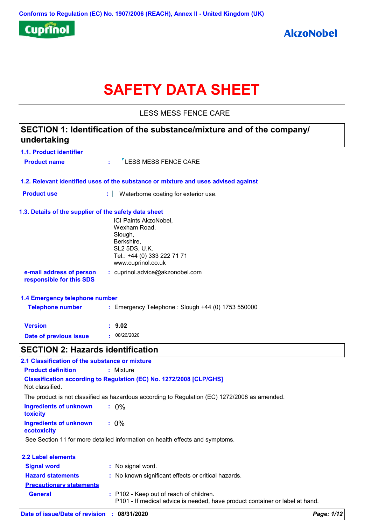

# **SAFETY DATA SHEET**

LESS MESS FENCE CARE

## **1.1. Product identifier 1.3. Details of the supplier of the safety data sheet 1.2. Relevant identified uses of the substance or mixture and uses advised against SECTION 1: Identification of the substance/mixture and of the company/ undertaking Date of previous issue :** 08/26/2020 ICI Paints AkzoNobel, Wexham Road, Slough, Berkshire, SL2 5DS, U.K. Tel.: +44 (0) 333 222 71 71 www.cuprinol.co.uk **e-mail address of person responsible for this SDS :** cuprinol.advice@akzonobel.com **1.4 Emergency telephone number Version : 9.02 Product name**  $\frac{1}{2}$  **LESS MESS FENCE CARE Product use <b>:** Waterborne coating for exterior use. **Telephone number :** Emergency Telephone : Slough +44 (0) 1753 550000 **SECTION 2: Hazards identification Ingredients of unknown toxicity :** 0% **Classification according to Regulation (EC) No. 1272/2008 [CLP/GHS] 2.1 Classification of the substance or mixture Product definition :** Mixture Not classified. The product is not classified as hazardous according to Regulation (EC) 1272/2008 as amended.

**Ingredients of unknown ecotoxicity :** 0%

See Section 11 for more detailed information on health effects and symptoms.

| <b>2.2 Label elements</b>       |                                                                                                                         |
|---------------------------------|-------------------------------------------------------------------------------------------------------------------------|
| <b>Signal word</b>              | : No signal word.                                                                                                       |
| <b>Hazard statements</b>        | : No known significant effects or critical hazards.                                                                     |
| <b>Precautionary statements</b> |                                                                                                                         |
| <b>General</b>                  | : P102 - Keep out of reach of children.<br>P101 - If medical advice is needed, have product container or label at hand. |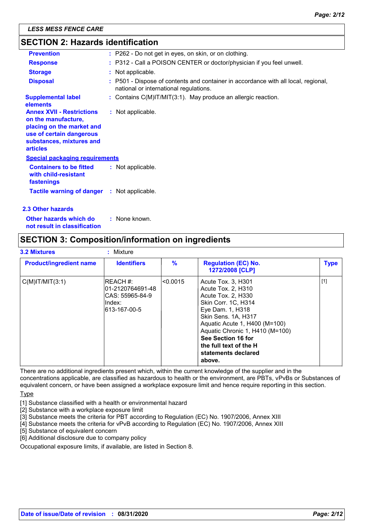## **SECTION 2: Hazards identification**

| <b>Prevention</b>                                                                                                                                               | : P262 - Do not get in eyes, on skin, or on clothing.                                                                        |
|-----------------------------------------------------------------------------------------------------------------------------------------------------------------|------------------------------------------------------------------------------------------------------------------------------|
| <b>Response</b>                                                                                                                                                 | : P312 - Call a POISON CENTER or doctor/physician if you feel unwell.                                                        |
| <b>Storage</b>                                                                                                                                                  | : Not applicable.                                                                                                            |
| <b>Disposal</b>                                                                                                                                                 | : P501 - Dispose of contents and container in accordance with all local, regional,<br>national or international regulations. |
| <b>Supplemental label</b><br>elements                                                                                                                           | : Contains C(M)IT/MIT(3:1). May produce an allergic reaction.                                                                |
| <b>Annex XVII - Restrictions</b><br>on the manufacture,<br>placing on the market and<br>use of certain dangerous<br>substances, mixtures and<br><b>articles</b> | : Not applicable.                                                                                                            |
| <b>Special packaging requirements</b>                                                                                                                           |                                                                                                                              |
| <b>Containers to be fitted</b><br>with child-resistant<br>fastenings                                                                                            | : Not applicable.                                                                                                            |
| <b>Tactile warning of danger : Not applicable.</b>                                                                                                              |                                                                                                                              |
| 2.3 Other hazards                                                                                                                                               |                                                                                                                              |

**Other hazards which do : not result in classification** : None known.

## **SECTION 3: Composition/information on ingredients**

| <b>3.2 Mixtures</b>            | Mixture                                                                             |         |                                                                                                                                                                                                                                                                                       |             |
|--------------------------------|-------------------------------------------------------------------------------------|---------|---------------------------------------------------------------------------------------------------------------------------------------------------------------------------------------------------------------------------------------------------------------------------------------|-------------|
| <b>Product/ingredient name</b> | <b>Identifiers</b>                                                                  | %       | <b>Regulation (EC) No.</b><br>1272/2008 [CLP]                                                                                                                                                                                                                                         | <b>Type</b> |
| $C(M)$ IT/MIT $(3:1)$          | <b>IREACH #:</b><br>101-2120764691-48<br>ICAS: 55965-84-9<br>Index:<br>613-167-00-5 | <0.0015 | Acute Tox. 3, H301<br>Acute Tox. 2, H310<br>Acute Tox. 2. H330<br>Skin Corr. 1C, H314<br>Eye Dam. 1, H318<br>Skin Sens. 1A, H317<br>Aquatic Acute 1, H400 (M=100)<br>Aquatic Chronic 1, H410 (M=100)<br>See Section 16 for<br>the full text of the H<br>statements declared<br>above. | $[1]$       |

There are no additional ingredients present which, within the current knowledge of the supplier and in the concentrations applicable, are classified as hazardous to health or the environment, are PBTs, vPvBs or Substances of equivalent concern, or have been assigned a workplace exposure limit and hence require reporting in this section.

**Type** 

- [1] Substance classified with a health or environmental hazard
- [2] Substance with a workplace exposure limit
- [3] Substance meets the criteria for PBT according to Regulation (EC) No. 1907/2006, Annex XIII
- [4] Substance meets the criteria for vPvB according to Regulation (EC) No. 1907/2006, Annex XIII
- [5] Substance of equivalent concern
- [6] Additional disclosure due to company policy

Occupational exposure limits, if available, are listed in Section 8.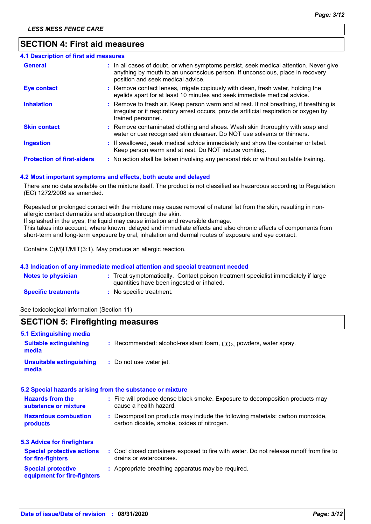## **SECTION 4: First aid measures**

| <b>4.1 Description of first aid measures</b> |                                                                                                                                                                                                             |
|----------------------------------------------|-------------------------------------------------------------------------------------------------------------------------------------------------------------------------------------------------------------|
| <b>General</b>                               | : In all cases of doubt, or when symptoms persist, seek medical attention. Never give<br>anything by mouth to an unconscious person. If unconscious, place in recovery<br>position and seek medical advice. |
| <b>Eye contact</b>                           | : Remove contact lenses, irrigate copiously with clean, fresh water, holding the<br>eyelids apart for at least 10 minutes and seek immediate medical advice.                                                |
| <b>Inhalation</b>                            | : Remove to fresh air. Keep person warm and at rest. If not breathing, if breathing is<br>irregular or if respiratory arrest occurs, provide artificial respiration or oxygen by<br>trained personnel.      |
| <b>Skin contact</b>                          | : Remove contaminated clothing and shoes. Wash skin thoroughly with soap and<br>water or use recognised skin cleanser. Do NOT use solvents or thinners.                                                     |
| <b>Ingestion</b>                             | : If swallowed, seek medical advice immediately and show the container or label.<br>Keep person warm and at rest. Do NOT induce vomiting.                                                                   |
| <b>Protection of first-aiders</b>            | : No action shall be taken involving any personal risk or without suitable training.                                                                                                                        |

#### **4.2 Most important symptoms and effects, both acute and delayed**

There are no data available on the mixture itself. The product is not classified as hazardous according to Regulation (EC) 1272/2008 as amended.

Repeated or prolonged contact with the mixture may cause removal of natural fat from the skin, resulting in nonallergic contact dermatitis and absorption through the skin.

If splashed in the eyes, the liquid may cause irritation and reversible damage.

This takes into account, where known, delayed and immediate effects and also chronic effects of components from short-term and long-term exposure by oral, inhalation and dermal routes of exposure and eye contact.

Contains C(M)IT/MIT(3:1). May produce an allergic reaction.

#### **4.3 Indication of any immediate medical attention and special treatment needed**

| <b>Notes to physician</b>  | : Treat symptomatically. Contact poison treatment specialist immediately if large |
|----------------------------|-----------------------------------------------------------------------------------|
|                            | quantities have been ingested or inhaled.                                         |
| <b>Specific treatments</b> | No specific treatment.                                                            |

See toxicological information (Section 11)

## **SECTION 5: Firefighting measures**

| 5.1 Extinguishing media                                  |                                                                                                                              |
|----------------------------------------------------------|------------------------------------------------------------------------------------------------------------------------------|
| <b>Suitable extinguishing</b><br>media                   | : Recommended: alcohol-resistant foam, $CO2$ , powders, water spray.                                                         |
| <b>Unsuitable extinguishing</b><br>media                 | : Do not use water jet.                                                                                                      |
|                                                          | 5.2 Special hazards arising from the substance or mixture                                                                    |
| <b>Hazards from the</b><br>substance or mixture          | : Fire will produce dense black smoke. Exposure to decomposition products may<br>cause a health hazard.                      |
| <b>Hazardous combustion</b><br>products                  | : Decomposition products may include the following materials: carbon monoxide,<br>carbon dioxide, smoke, oxides of nitrogen. |
| <b>5.3 Advice for firefighters</b>                       |                                                                                                                              |
| <b>Special protective actions</b><br>for fire-fighters   | : Cool closed containers exposed to fire with water. Do not release runoff from fire to<br>drains or watercourses.           |
| <b>Special protective</b><br>equipment for fire-fighters | : Appropriate breathing apparatus may be required.                                                                           |
|                                                          |                                                                                                                              |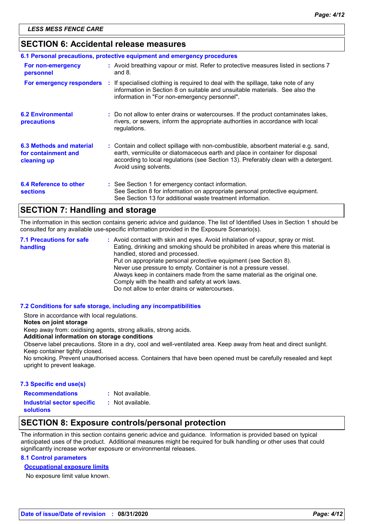## **SECTION 6: Accidental release measures**

| 6.1 Personal precautions, protective equipment and emergency procedures |  |                                                                                                                                                                                                                                                                                    |
|-------------------------------------------------------------------------|--|------------------------------------------------------------------------------------------------------------------------------------------------------------------------------------------------------------------------------------------------------------------------------------|
| For non-emergency<br>personnel                                          |  | : Avoid breathing vapour or mist. Refer to protective measures listed in sections 7<br>and $8.$                                                                                                                                                                                    |
| For emergency responders                                                |  | : If specialised clothing is required to deal with the spillage, take note of any<br>information in Section 8 on suitable and unsuitable materials. See also the<br>information in "For non-emergency personnel".                                                                  |
| <b>6.2 Environmental</b><br>precautions                                 |  | : Do not allow to enter drains or watercourses. If the product contaminates lakes,<br>rivers, or sewers, inform the appropriate authorities in accordance with local<br>regulations.                                                                                               |
| 6.3 Methods and material<br>for containment and<br>cleaning up          |  | : Contain and collect spillage with non-combustible, absorbent material e.g. sand,<br>earth, vermiculite or diatomaceous earth and place in container for disposal<br>according to local regulations (see Section 13). Preferably clean with a detergent.<br>Avoid using solvents. |
| 6.4 Reference to other<br><b>sections</b>                               |  | : See Section 1 for emergency contact information.<br>See Section 8 for information on appropriate personal protective equipment.<br>See Section 13 for additional waste treatment information.                                                                                    |

## **SECTION 7: Handling and storage**

The information in this section contains generic advice and guidance. The list of Identified Uses in Section 1 should be consulted for any available use-specific information provided in the Exposure Scenario(s).

Avoid contact with skin and eyes. Avoid inhalation of vapour, spray or mist. **:** Eating, drinking and smoking should be prohibited in areas where this material is handled, stored and processed. Put on appropriate personal protective equipment (see Section 8). Never use pressure to empty. Container is not a pressure vessel. Always keep in containers made from the same material as the original one. Comply with the health and safety at work laws. Do not allow to enter drains or watercourses. **7.1 Precautions for safe handling**

#### **7.2 Conditions for safe storage, including any incompatibilities**

Store in accordance with local regulations.

#### **Notes on joint storage**

Keep away from: oxidising agents, strong alkalis, strong acids.

**Additional information on storage conditions**

Observe label precautions. Store in a dry, cool and well-ventilated area. Keep away from heat and direct sunlight. Keep container tightly closed.

No smoking. Prevent unauthorised access. Containers that have been opened must be carefully resealed and kept upright to prevent leakage.

#### **7.3 Specific end use(s)**

- **Recommendations :**
- : Not available.

**Industrial sector specific : solutions**

- : Not available.
- 

## **SECTION 8: Exposure controls/personal protection**

The information in this section contains generic advice and guidance. Information is provided based on typical anticipated uses of the product. Additional measures might be required for bulk handling or other uses that could significantly increase worker exposure or environmental releases.

#### **8.1 Control parameters**

#### **Occupational exposure limits**

No exposure limit value known.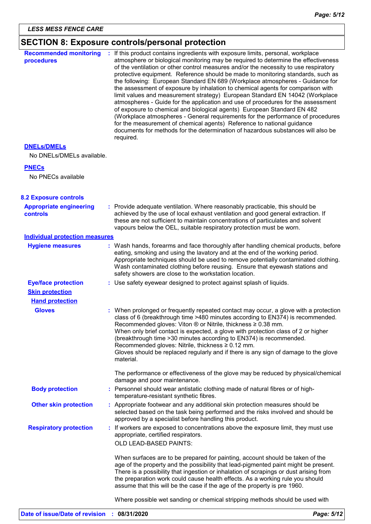## **SECTION 8: Exposure controls/personal protection**

| <b>Recommended monitoring</b><br>procedures       | If this product contains ingredients with exposure limits, personal, workplace<br>atmosphere or biological monitoring may be required to determine the effectiveness<br>of the ventilation or other control measures and/or the necessity to use respiratory<br>protective equipment. Reference should be made to monitoring standards, such as<br>the following: European Standard EN 689 (Workplace atmospheres - Guidance for<br>the assessment of exposure by inhalation to chemical agents for comparison with<br>limit values and measurement strategy) European Standard EN 14042 (Workplace<br>atmospheres - Guide for the application and use of procedures for the assessment<br>of exposure to chemical and biological agents) European Standard EN 482<br>(Workplace atmospheres - General requirements for the performance of procedures<br>for the measurement of chemical agents) Reference to national guidance<br>documents for methods for the determination of hazardous substances will also be<br>required. |  |
|---------------------------------------------------|----------------------------------------------------------------------------------------------------------------------------------------------------------------------------------------------------------------------------------------------------------------------------------------------------------------------------------------------------------------------------------------------------------------------------------------------------------------------------------------------------------------------------------------------------------------------------------------------------------------------------------------------------------------------------------------------------------------------------------------------------------------------------------------------------------------------------------------------------------------------------------------------------------------------------------------------------------------------------------------------------------------------------------|--|
| <b>DNELS/DMELS</b>                                |                                                                                                                                                                                                                                                                                                                                                                                                                                                                                                                                                                                                                                                                                                                                                                                                                                                                                                                                                                                                                                  |  |
| No DNELs/DMELs available.                         |                                                                                                                                                                                                                                                                                                                                                                                                                                                                                                                                                                                                                                                                                                                                                                                                                                                                                                                                                                                                                                  |  |
| <b>PNECs</b>                                      |                                                                                                                                                                                                                                                                                                                                                                                                                                                                                                                                                                                                                                                                                                                                                                                                                                                                                                                                                                                                                                  |  |
| No PNECs available                                |                                                                                                                                                                                                                                                                                                                                                                                                                                                                                                                                                                                                                                                                                                                                                                                                                                                                                                                                                                                                                                  |  |
| <b>8.2 Exposure controls</b>                      |                                                                                                                                                                                                                                                                                                                                                                                                                                                                                                                                                                                                                                                                                                                                                                                                                                                                                                                                                                                                                                  |  |
| <b>Appropriate engineering</b><br><b>controls</b> | : Provide adequate ventilation. Where reasonably practicable, this should be<br>achieved by the use of local exhaust ventilation and good general extraction. If<br>these are not sufficient to maintain concentrations of particulates and solvent<br>vapours below the OEL, suitable respiratory protection must be worn.                                                                                                                                                                                                                                                                                                                                                                                                                                                                                                                                                                                                                                                                                                      |  |
| <b>Individual protection measures</b>             |                                                                                                                                                                                                                                                                                                                                                                                                                                                                                                                                                                                                                                                                                                                                                                                                                                                                                                                                                                                                                                  |  |
| <b>Hygiene measures</b>                           | : Wash hands, forearms and face thoroughly after handling chemical products, before<br>eating, smoking and using the lavatory and at the end of the working period.<br>Appropriate techniques should be used to remove potentially contaminated clothing.<br>Wash contaminated clothing before reusing. Ensure that eyewash stations and<br>safety showers are close to the workstation location.                                                                                                                                                                                                                                                                                                                                                                                                                                                                                                                                                                                                                                |  |
| <b>Eye/face protection</b>                        | : Use safety eyewear designed to protect against splash of liquids.                                                                                                                                                                                                                                                                                                                                                                                                                                                                                                                                                                                                                                                                                                                                                                                                                                                                                                                                                              |  |
| <b>Skin protection</b>                            |                                                                                                                                                                                                                                                                                                                                                                                                                                                                                                                                                                                                                                                                                                                                                                                                                                                                                                                                                                                                                                  |  |
| <b>Hand protection</b>                            |                                                                                                                                                                                                                                                                                                                                                                                                                                                                                                                                                                                                                                                                                                                                                                                                                                                                                                                                                                                                                                  |  |
| <b>Gloves</b>                                     | : When prolonged or frequently repeated contact may occur, a glove with a protection<br>class of 6 (breakthrough time >480 minutes according to EN374) is recommended.<br>Recommended gloves: Viton $\otimes$ or Nitrile, thickness $\geq 0.38$ mm.<br>When only brief contact is expected, a glove with protection class of 2 or higher<br>(breakthrough time > 30 minutes according to EN374) is recommended.<br>Recommended gloves: Nitrile, thickness ≥ 0.12 mm.<br>Gloves should be replaced regularly and if there is any sign of damage to the glove<br>material.                                                                                                                                                                                                                                                                                                                                                                                                                                                         |  |
|                                                   | The performance or effectiveness of the glove may be reduced by physical/chemical<br>damage and poor maintenance.                                                                                                                                                                                                                                                                                                                                                                                                                                                                                                                                                                                                                                                                                                                                                                                                                                                                                                                |  |
| <b>Body protection</b>                            | : Personnel should wear antistatic clothing made of natural fibres or of high-<br>temperature-resistant synthetic fibres.                                                                                                                                                                                                                                                                                                                                                                                                                                                                                                                                                                                                                                                                                                                                                                                                                                                                                                        |  |
| <b>Other skin protection</b>                      | : Appropriate footwear and any additional skin protection measures should be<br>selected based on the task being performed and the risks involved and should be<br>approved by a specialist before handling this product.                                                                                                                                                                                                                                                                                                                                                                                                                                                                                                                                                                                                                                                                                                                                                                                                        |  |
| <b>Respiratory protection</b>                     | : If workers are exposed to concentrations above the exposure limit, they must use<br>appropriate, certified respirators.<br>OLD LEAD-BASED PAINTS:                                                                                                                                                                                                                                                                                                                                                                                                                                                                                                                                                                                                                                                                                                                                                                                                                                                                              |  |
|                                                   | When surfaces are to be prepared for painting, account should be taken of the<br>age of the property and the possibility that lead-pigmented paint might be present.<br>There is a possibility that ingestion or inhalation of scrapings or dust arising from<br>the preparation work could cause health effects. As a working rule you should<br>assume that this will be the case if the age of the property is pre 1960.                                                                                                                                                                                                                                                                                                                                                                                                                                                                                                                                                                                                      |  |
|                                                   | Where possible wet sanding or chemical stripping methods should be used with                                                                                                                                                                                                                                                                                                                                                                                                                                                                                                                                                                                                                                                                                                                                                                                                                                                                                                                                                     |  |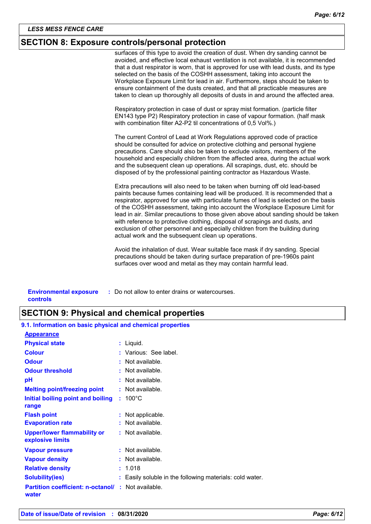## **SECTION 8: Exposure controls/personal protection**

surfaces of this type to avoid the creation of dust. When dry sanding cannot be avoided, and effective local exhaust ventilation is not available, it is recommended that a dust respirator is worn, that is approved for use with lead dusts, and its type selected on the basis of the COSHH assessment, taking into account the Workplace Exposure Limit for lead in air. Furthermore, steps should be taken to ensure containment of the dusts created, and that all practicable measures are taken to clean up thoroughly all deposits of dusts in and around the affected area.

Respiratory protection in case of dust or spray mist formation. (particle filter EN143 type P2) Respiratory protection in case of vapour formation. (half mask with combination filter A2-P2 til concentrations of 0,5 Vol%.)

The current Control of Lead at Work Regulations approved code of practice should be consulted for advice on protective clothing and personal hygiene precautions. Care should also be taken to exclude visitors, members of the household and especially children from the affected area, during the actual work and the subsequent clean up operations. All scrapings, dust, etc. should be disposed of by the professional painting contractor as Hazardous Waste.

Extra precautions will also need to be taken when burning off old lead-based paints because fumes containing lead will be produced. It is recommended that a respirator, approved for use with particulate fumes of lead is selected on the basis of the COSHH assessment, taking into account the Workplace Exposure Limit for lead in air. Similar precautions to those given above about sanding should be taken with reference to protective clothing, disposal of scrapings and dusts, and exclusion of other personnel and especially children from the building during actual work and the subsequent clean up operations.

Avoid the inhalation of dust. Wear suitable face mask if dry sanding. Special precautions should be taken during surface preparation of pre-1960s paint surfaces over wood and metal as they may contain harmful lead.

| <b>Environmental exposure</b> | : Do not allow to enter drains or watercourses. |
|-------------------------------|-------------------------------------------------|
| controls                      |                                                 |

## **SECTION 9: Physical and chemical properties**

| 9.1. Information on basic physical and chemical properties         |                                                        |
|--------------------------------------------------------------------|--------------------------------------------------------|
| <b>Appearance</b>                                                  |                                                        |
| <b>Physical state</b>                                              | $:$ Liquid.                                            |
| <b>Colour</b>                                                      | : Various: See label.                                  |
| <b>Odour</b>                                                       | : Not available.                                       |
| <b>Odour threshold</b>                                             | $:$ Not available.                                     |
| рH                                                                 | $:$ Not available.                                     |
| <b>Melting point/freezing point</b>                                | : Not available.                                       |
| Initial boiling point and boiling<br>range                         | $: 100^{\circ}$ C                                      |
| <b>Flash point</b>                                                 | : Not applicable.                                      |
| <b>Evaporation rate</b>                                            | : Not available.                                       |
| <b>Upper/lower flammability or</b><br>explosive limits             | : Not available.                                       |
| <b>Vapour pressure</b>                                             | $:$ Not available.                                     |
| <b>Vapour density</b>                                              | : Not available.                                       |
| <b>Relative density</b>                                            | : 1.018                                                |
| <b>Solubility(ies)</b>                                             | Easily soluble in the following materials: cold water. |
| <b>Partition coefficient: n-octanol/ : Not available.</b><br>water |                                                        |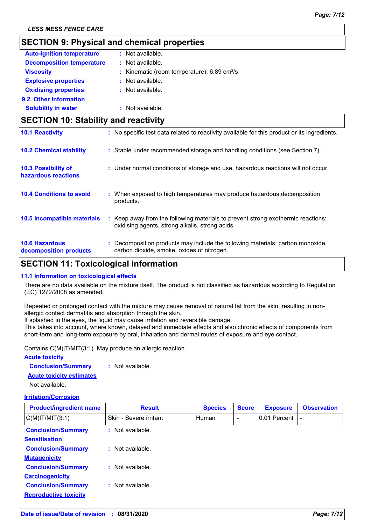## **SECTION 9: Physical and chemical properties**

| <b>Auto-ignition temperature</b> | : Not available.                                             |
|----------------------------------|--------------------------------------------------------------|
| <b>Decomposition temperature</b> | : Not available.                                             |
| <b>Viscosity</b>                 | : Kinematic (room temperature): $6.89 \text{ cm}^2/\text{s}$ |
| <b>Explosive properties</b>      | : Not available.                                             |
| <b>Oxidising properties</b>      | : Not available.                                             |
| 9.2. Other information           |                                                              |
| <b>Solubility in water</b>       | : Not available.                                             |
|                                  |                                                              |

## **SECTION 10: Stability and reactivity**

| <b>10.1 Reactivity</b>                            | : No specific test data related to reactivity available for this product or its ingredients.                                        |
|---------------------------------------------------|-------------------------------------------------------------------------------------------------------------------------------------|
| <b>10.2 Chemical stability</b>                    | : Stable under recommended storage and handling conditions (see Section 7).                                                         |
| <b>10.3 Possibility of</b><br>hazardous reactions | : Under normal conditions of storage and use, hazardous reactions will not occur.                                                   |
| <b>10.4 Conditions to avoid</b>                   | : When exposed to high temperatures may produce hazardous decomposition<br>products.                                                |
| 10.5 Incompatible materials                       | : Keep away from the following materials to prevent strong exothermic reactions:<br>oxidising agents, strong alkalis, strong acids. |
| <b>10.6 Hazardous</b><br>decomposition products   | : Decomposition products may include the following materials: carbon monoxide,<br>carbon dioxide, smoke, oxides of nitrogen.        |

## **SECTION 11: Toxicological information**

#### **11.1 Information on toxicological effects**

There are no data available on the mixture itself. The product is not classified as hazardous according to Regulation (EC) 1272/2008 as amended.

Repeated or prolonged contact with the mixture may cause removal of natural fat from the skin, resulting in nonallergic contact dermatitis and absorption through the skin.

If splashed in the eyes, the liquid may cause irritation and reversible damage.

This takes into account, where known, delayed and immediate effects and also chronic effects of components from short-term and long-term exposure by oral, inhalation and dermal routes of exposure and eye contact.

Contains C(M)IT/MIT(3:1). May produce an allergic reaction.

#### **Acute toxicity**

| <b>Conclusion/Summary</b> | Not available. |
|---------------------------|----------------|
|---------------------------|----------------|

#### **Acute toxicity estimates**

Not available.

#### **Irritation/Corrosion**

| <b>Product/ingredient name</b> | <b>Result</b>               | <b>Species</b> | <b>Score</b>             | <b>Exposure</b> | <b>Observation</b> |
|--------------------------------|-----------------------------|----------------|--------------------------|-----------------|--------------------|
| $C(M)$ IT/MIT $(3:1)$          | Skin - Severe irritant      | Human          | $\overline{\phantom{0}}$ | 0.01 Percent    |                    |
| <b>Conclusion/Summary</b>      | : Not available.            |                |                          |                 |                    |
| <b>Sensitisation</b>           |                             |                |                          |                 |                    |
| <b>Conclusion/Summary</b>      | : Not available.            |                |                          |                 |                    |
| <b>Mutagenicity</b>            |                             |                |                          |                 |                    |
| <b>Conclusion/Summary</b>      | : Not available.            |                |                          |                 |                    |
| <b>Carcinogenicity</b>         |                             |                |                          |                 |                    |
| <b>Conclusion/Summary</b>      | $\therefore$ Not available. |                |                          |                 |                    |
| <b>Reproductive toxicity</b>   |                             |                |                          |                 |                    |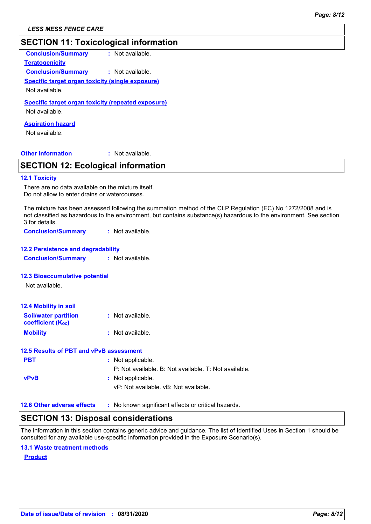*LESS MESS FENCE CARE*

## **SECTION 11: Toxicological information**

**Conclusion/Summary :** Not available.

**Teratogenicity**

**Conclusion/Summary :** Not available.

### **Specific target organ toxicity (single exposure)**

Not available.

### **Specific target organ toxicity (repeated exposure)**

Not available.

### **Aspiration hazard**

Not available.

**Other information :**

: Not available.

## **SECTION 12: Ecological information**

#### **12.1 Toxicity**

There are no data available on the mixture itself. Do not allow to enter drains or watercourses.

The mixture has been assessed following the summation method of the CLP Regulation (EC) No 1272/2008 and is not classified as hazardous to the environment, but contains substance(s) hazardous to the environment. See section 3 for details.

**Conclusion/Summary :** Not available.

## **12.2 Persistence and degradability**

**Conclusion/Summary :** Not available.

#### **12.3 Bioaccumulative potential**

Not available.

| <b>12.4 Mobility in soil</b>                            |                  |
|---------------------------------------------------------|------------------|
| <b>Soil/water partition</b><br><b>coefficient (Koc)</b> | : Not available. |
| <b>Mobility</b>                                         | : Not available. |

#### **12.5 Results of PBT and vPvB assessment**

| <b>PBT</b>                        | : Not applicable.                                          |
|-----------------------------------|------------------------------------------------------------|
|                                   | P: Not available, B: Not available, T: Not available,      |
| <b>vPvB</b>                       | : Not applicable.<br>vP: Not available. vB: Not available. |
| <b>12.6 Other adverse effects</b> | : No known significant effects or critical hazards.        |

## **SECTION 13: Disposal considerations**

The information in this section contains generic advice and guidance. The list of Identified Uses in Section 1 should be consulted for any available use-specific information provided in the Exposure Scenario(s).

#### **13.1 Waste treatment methods**

#### **Product**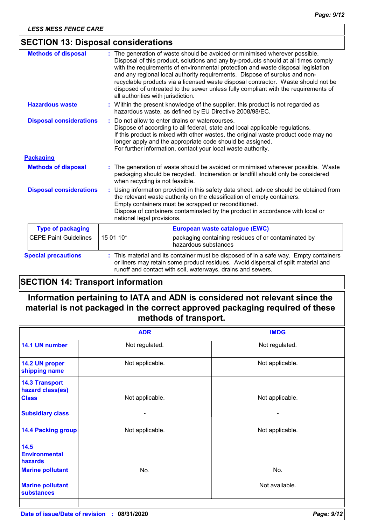## **SECTION 13: Disposal considerations**

| <b>Methods of disposal</b>     | The generation of waste should be avoided or minimised wherever possible.<br>Disposal of this product, solutions and any by-products should at all times comply<br>with the requirements of environmental protection and waste disposal legislation<br>and any regional local authority requirements. Dispose of surplus and non-<br>recyclable products via a licensed waste disposal contractor. Waste should not be<br>disposed of untreated to the sewer unless fully compliant with the requirements of<br>all authorities with jurisdiction. |  |
|--------------------------------|----------------------------------------------------------------------------------------------------------------------------------------------------------------------------------------------------------------------------------------------------------------------------------------------------------------------------------------------------------------------------------------------------------------------------------------------------------------------------------------------------------------------------------------------------|--|
| <b>Hazardous waste</b>         | : Within the present knowledge of the supplier, this product is not regarded as<br>hazardous waste, as defined by EU Directive 2008/98/EC.                                                                                                                                                                                                                                                                                                                                                                                                         |  |
| <b>Disposal considerations</b> | Do not allow to enter drains or watercourses.<br>÷.<br>Dispose of according to all federal, state and local applicable regulations.<br>If this product is mixed with other wastes, the original waste product code may no<br>longer apply and the appropriate code should be assigned.<br>For further information, contact your local waste authority.                                                                                                                                                                                             |  |
| <b>Packaging</b>               |                                                                                                                                                                                                                                                                                                                                                                                                                                                                                                                                                    |  |
| <b>Methods of disposal</b>     | : The generation of waste should be avoided or minimised wherever possible. Waste<br>packaging should be recycled. Incineration or landfill should only be considered<br>when recycling is not feasible.                                                                                                                                                                                                                                                                                                                                           |  |
| <b>Disposal considerations</b> | Using information provided in this safety data sheet, advice should be obtained from<br>÷.<br>the relevant waste authority on the classification of empty containers.<br>Empty containers must be scrapped or reconditioned.<br>Dispose of containers contaminated by the product in accordance with local or<br>national legal provisions.                                                                                                                                                                                                        |  |
| <b>Type of packaging</b>       | European waste catalogue (EWC)                                                                                                                                                                                                                                                                                                                                                                                                                                                                                                                     |  |
| <b>CEPE Paint Guidelines</b>   | 15 01 10*<br>packaging containing residues of or contaminated by<br>hazardous substances                                                                                                                                                                                                                                                                                                                                                                                                                                                           |  |
| <b>Special precautions</b>     | : This material and its container must be disposed of in a safe way. Empty containers<br>or liners may retain some product residues. Avoid dispersal of spilt material and<br>runoff and contact with soil, waterways, drains and sewers.                                                                                                                                                                                                                                                                                                          |  |

## **SECTION 14: Transport information**

## **Information pertaining to IATA and ADN is considered not relevant since the material is not packaged in the correct approved packaging required of these methods of transport.**

|                                                           | <b>ADR</b>                         | <b>IMDG</b>     |
|-----------------------------------------------------------|------------------------------------|-----------------|
| 14.1 UN number                                            | Not regulated.                     | Not regulated.  |
| 14.2 UN proper<br>shipping name                           | Not applicable.<br>Not applicable. |                 |
| <b>14.3 Transport</b><br>hazard class(es)<br><b>Class</b> | Not applicable.                    | Not applicable. |
| <b>Subsidiary class</b>                                   |                                    |                 |
| <b>14.4 Packing group</b>                                 | Not applicable.                    | Not applicable. |
| 14.5<br><b>Environmental</b><br><b>hazards</b>            |                                    |                 |
| <b>Marine pollutant</b>                                   | No.                                | No.             |
| <b>Marine pollutant</b><br><b>substances</b>              |                                    | Not available.  |
|                                                           |                                    |                 |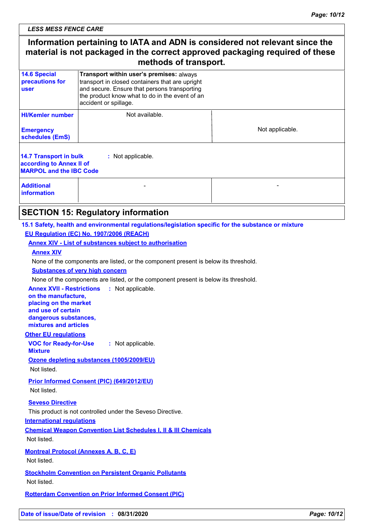*LESS MESS FENCE CARE*

## **Information pertaining to IATA and ADN is considered not relevant since the material is not packaged in the correct approved packaging required of these methods of transport.**

| <b>14.6 Special</b><br>precautions for<br><b>user</b>                                       | Transport within user's premises: always<br>transport in closed containers that are upright<br>and secure. Ensure that persons transporting<br>the product know what to do in the event of an<br>accident or spillage. |                 |  |
|---------------------------------------------------------------------------------------------|------------------------------------------------------------------------------------------------------------------------------------------------------------------------------------------------------------------------|-----------------|--|
| <b>HI/Kemler number</b><br><b>Emergency</b><br>schedules (EmS)                              | Not available.                                                                                                                                                                                                         | Not applicable. |  |
| <b>14.7 Transport in bulk</b><br>according to Annex II of<br><b>MARPOL and the IBC Code</b> | : Not applicable.                                                                                                                                                                                                      |                 |  |
| <b>Additional</b><br><b>information</b>                                                     |                                                                                                                                                                                                                        |                 |  |

## **SECTION 15: Regulatory information**

## **15.1 Safety, health and environmental regulations/legislation specific for the substance or mixture EU Regulation (EC) No. 1907/2006 (REACH)**

## **Annex XIV - List of substances subject to authorisation**

#### **Annex XIV**

None of the components are listed, or the component present is below its threshold.

#### **Substances of very high concern**

None of the components are listed, or the component present is below its threshold.

**Annex XVII - Restrictions :** Not applicable. **on the manufacture,**

**placing on the market and use of certain dangerous substances, mixtures and articles**

#### **Other EU regulations**

**VOC for Ready-for-Use Mixture :** Not applicable.

**Ozone depleting substances (1005/2009/EU)**

Not listed.

**Prior Informed Consent (PIC) (649/2012/EU)** Not listed.

#### **Seveso Directive**

This product is not controlled under the Seveso Directive.

#### **International regulations**

**Chemical Weapon Convention List Schedules I, II & III Chemicals** Not listed.

**Montreal Protocol (Annexes A, B, C, E)** Not listed.

**Stockholm Convention on Persistent Organic Pollutants** Not listed.

**Rotterdam Convention on Prior Informed Consent (PIC)**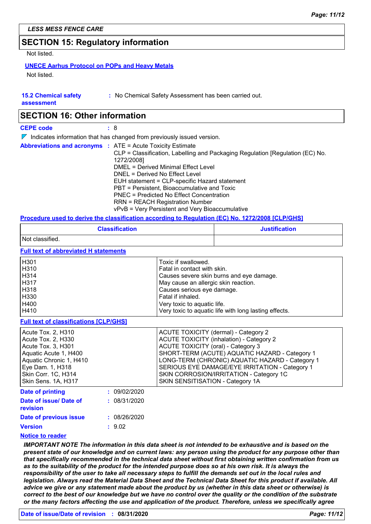## **SECTION 15: Regulatory information**

Not listed.

## **UNECE Aarhus Protocol on POPs and Heavy Metals**

Not listed.

| <b>15.2 Chemical safety</b> |  |
|-----------------------------|--|
|-----------------------------|--|

**:** No Chemical Safety Assessment has been carried out.

**assessment**

## **SECTION 16: Other information**

**CEPE code :** 8

 $\nabla$  Indicates information that has changed from previously issued version.

|  | <b>Abbreviations and acronyms : ATE = Acute Toxicity Estimate</b><br>CLP = Classification, Labelling and Packaging Regulation [Regulation (EC) No.<br>1272/2008]<br>DMEL = Derived Minimal Effect Level<br>DNEL = Derived No Effect Level<br>EUH statement = CLP-specific Hazard statement<br>PBT = Persistent, Bioaccumulative and Toxic<br><b>PNEC</b> = Predicted No Effect Concentration<br><b>RRN = REACH Registration Number</b><br>vPvB = Very Persistent and Very Bioaccumulative |
|--|-------------------------------------------------------------------------------------------------------------------------------------------------------------------------------------------------------------------------------------------------------------------------------------------------------------------------------------------------------------------------------------------------------------------------------------------------------------------------------------------|
|  |                                                                                                                                                                                                                                                                                                                                                                                                                                                                                           |

## **Procedure used to derive the classification according to Regulation (EC) No. 1272/2008 [CLP/GHS]**

|                                                                                                                                                                                      | <b>Classification</b>        |                                                                                                                                                                                                                                                                                                                                                                                   | <b>Justification</b> |  |
|--------------------------------------------------------------------------------------------------------------------------------------------------------------------------------------|------------------------------|-----------------------------------------------------------------------------------------------------------------------------------------------------------------------------------------------------------------------------------------------------------------------------------------------------------------------------------------------------------------------------------|----------------------|--|
| Not classified.                                                                                                                                                                      |                              |                                                                                                                                                                                                                                                                                                                                                                                   |                      |  |
| <b>Full text of abbreviated H statements</b>                                                                                                                                         |                              |                                                                                                                                                                                                                                                                                                                                                                                   |                      |  |
| H301<br>H310<br>H314<br>H317<br>H318<br>H330<br>H400<br>H410                                                                                                                         |                              | Toxic if swallowed.<br>Fatal in contact with skin.<br>Causes severe skin burns and eye damage.<br>May cause an allergic skin reaction.<br>Causes serious eye damage.<br>Fatal if inhaled.<br>Very toxic to aquatic life.<br>Very toxic to aquatic life with long lasting effects.                                                                                                 |                      |  |
| <b>Full text of classifications [CLP/GHS]</b>                                                                                                                                        |                              |                                                                                                                                                                                                                                                                                                                                                                                   |                      |  |
| Acute Tox. 2, H310<br>Acute Tox. 2, H330<br>Acute Tox. 3, H301<br>Aquatic Acute 1, H400<br>Aquatic Chronic 1, H410<br>Eye Dam. 1, H318<br>Skin Corr. 1C, H314<br>Skin Sens. 1A, H317 |                              | <b>ACUTE TOXICITY (dermal) - Category 2</b><br><b>ACUTE TOXICITY (inhalation) - Category 2</b><br><b>ACUTE TOXICITY (oral) - Category 3</b><br>SHORT-TERM (ACUTE) AQUATIC HAZARD - Category 1<br>LONG-TERM (CHRONIC) AQUATIC HAZARD - Category 1<br>SERIOUS EYE DAMAGE/EYE IRRITATION - Category 1<br>SKIN CORROSION/IRRITATION - Category 1C<br>SKIN SENSITISATION - Category 1A |                      |  |
| <b>Date of printing</b><br>Date of issue/ Date of<br>revision                                                                                                                        | : 09/02/2020<br>: 08/31/2020 |                                                                                                                                                                                                                                                                                                                                                                                   |                      |  |
| Date of previous issue<br><b>Version</b>                                                                                                                                             | : 08/26/2020<br>: 9.02       |                                                                                                                                                                                                                                                                                                                                                                                   |                      |  |

#### **Notice to reader**

*IMPORTANT NOTE The information in this data sheet is not intended to be exhaustive and is based on the present state of our knowledge and on current laws: any person using the product for any purpose other than that specifically recommended in the technical data sheet without first obtaining written confirmation from us*  as to the suitability of the product for the intended purpose does so at his own risk. It is always the *responsibility of the user to take all necessary steps to fulfill the demands set out in the local rules and legislation. Always read the Material Data Sheet and the Technical Data Sheet for this product if available. All advice we give or any statement made about the product by us (whether in this data sheet or otherwise) is correct to the best of our knowledge but we have no control over the quality or the condition of the substrate or the many factors affecting the use and application of the product. Therefore, unless we specifically agree*